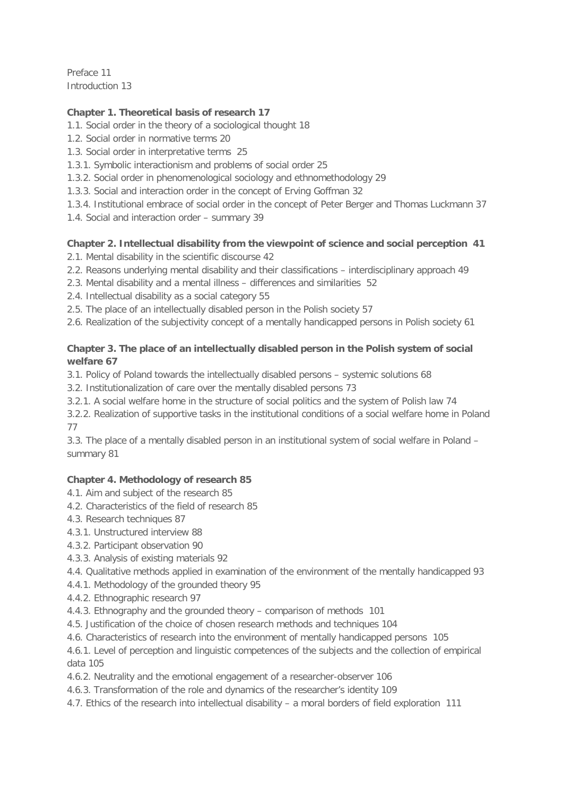Preface 11 Introduction 13

## **Chapter 1. Theoretical basis of research 17**

- 1.1. Social order in the theory of a sociological thought 18
- 1.2. Social order in normative terms 20
- 1.3. Social order in interpretative terms 25
- 1.3.1. Symbolic interactionism and problems of social order 25
- 1.3.2. Social order in phenomenological sociology and ethnomethodology 29
- 1.3.3. Social and interaction order in the concept of Erving Goffman 32
- 1.3.4. Institutional embrace of social order in the concept of Peter Berger and Thomas Luckmann 37
- 1.4. Social and interaction order summary 39

# **Chapter 2. Intellectual disability from the viewpoint of science and social perception 41**

- 2.1. Mental disability in the scientific discourse 42
- 2.2. Reasons underlying mental disability and their classifications interdisciplinary approach 49
- 2.3. Mental disability and a mental illness differences and similarities 52
- 2.4. Intellectual disability as a social category 55
- 2.5. The place of an intellectually disabled person in the Polish society 57
- 2.6. Realization of the subjectivity concept of a mentally handicapped persons in Polish society 61

## **Chapter 3. The place of an intellectually disabled person in the Polish system of social welfare 67**

3.1. Policy of Poland towards the intellectually disabled persons – systemic solutions 68

3.2. Institutionalization of care over the mentally disabled persons 73

3.2.1. A social welfare home in the structure of social politics and the system of Polish law 74

3.2.2. Realization of supportive tasks in the institutional conditions of a social welfare home in Poland 77

3.3. The place of a mentally disabled person in an institutional system of social welfare in Poland – summary 81

#### **Chapter 4. Methodology of research 85**

- 4.1. Aim and subject of the research 85
- 4.2. Characteristics of the field of research 85
- 4.3. Research techniques 87
- 4.3.1. Unstructured interview 88
- 4.3.2. Participant observation 90
- 4.3.3. Analysis of existing materials 92
- 4.4. Qualitative methods applied in examination of the environment of the mentally handicapped 93
- 4.4.1. Methodology of the grounded theory 95
- 4.4.2. Ethnographic research 97
- 4.4.3. Ethnography and the grounded theory comparison of methods 101
- 4.5. Justification of the choice of chosen research methods and techniques 104
- 4.6. Characteristics of research into the environment of mentally handicapped persons 105

4.6.1. Level of perception and linguistic competences of the subjects and the collection of empirical data 105

- 4.6.2. Neutrality and the emotional engagement of a researcher-observer 106
- 4.6.3. Transformation of the role and dynamics of the researcher's identity 109
- 4.7. Ethics of the research into intellectual disability a moral borders of field exploration 111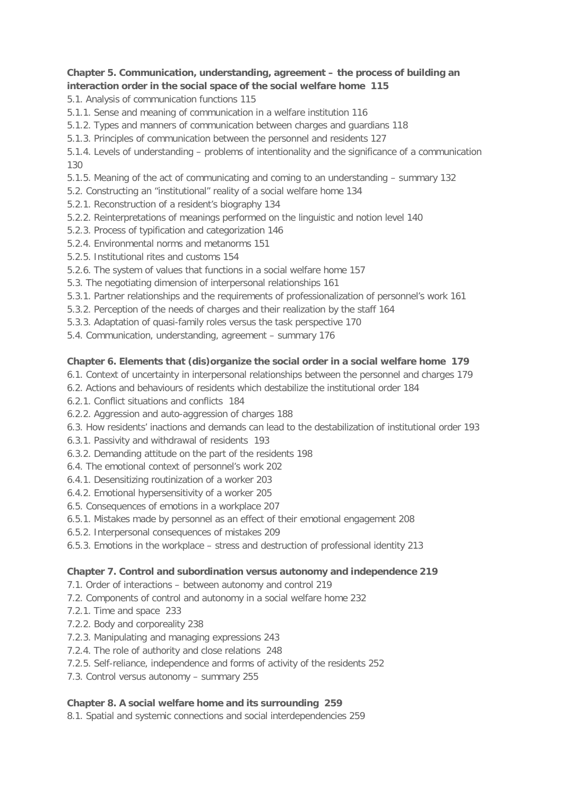## **Chapter 5. Communication, understanding, agreement – the process of building an interaction order in the social space of the social welfare home 115**

5.1. Analysis of communication functions 115

- 5.1.1. Sense and meaning of communication in a welfare institution 116
- 5.1.2. Types and manners of communication between charges and guardians 118
- 5.1.3. Principles of communication between the personnel and residents 127

5.1.4. Levels of understanding – problems of intentionality and the significance of a communication 130

- 5.1.5. Meaning of the act of communicating and coming to an understanding summary 132
- 5.2. Constructing an "institutional" reality of a social welfare home 134
- 5.2.1. Reconstruction of a resident's biography 134
- 5.2.2. Reinterpretations of meanings performed on the linguistic and notion level 140
- 5.2.3. Process of typification and categorization 146
- 5.2.4. Environmental norms and metanorms 151
- 5.2.5. Institutional rites and customs 154
- 5.2.6. The system of values that functions in a social welfare home 157
- 5.3. The negotiating dimension of interpersonal relationships 161
- 5.3.1. Partner relationships and the requirements of professionalization of personnel's work 161
- 5.3.2. Perception of the needs of charges and their realization by the staff 164
- 5.3.3. Adaptation of quasi-family roles versus the task perspective 170
- 5.4. Communication, understanding, agreement summary 176

## **Chapter 6. Elements that (dis)organize the social order in a social welfare home 179**

- 6.1. Context of uncertainty in interpersonal relationships between the personnel and charges 179
- 6.2. Actions and behaviours of residents which destabilize the institutional order 184
- 6.2.1. Conflict situations and conflicts 184
- 6.2.2. Aggression and auto-aggression of charges 188
- 6.3. How residents' inactions and demands can lead to the destabilization of institutional order 193
- 6.3.1. Passivity and withdrawal of residents 193
- 6.3.2. Demanding attitude on the part of the residents 198
- 6.4. The emotional context of personnel's work 202
- 6.4.1. Desensitizing routinization of a worker 203
- 6.4.2. Emotional hypersensitivity of a worker 205
- 6.5. Consequences of emotions in a workplace 207
- 6.5.1. Mistakes made by personnel as an effect of their emotional engagement 208
- 6.5.2. Interpersonal consequences of mistakes 209
- 6.5.3. Emotions in the workplace stress and destruction of professional identity 213

#### **Chapter 7. Control and subordination versus autonomy and independence 219**

- 7.1. Order of interactions between autonomy and control 219
- 7.2. Components of control and autonomy in a social welfare home 232
- 7.2.1. Time and space 233
- 7.2.2. Body and corporeality 238
- 7.2.3. Manipulating and managing expressions 243
- 7.2.4. The role of authority and close relations 248
- 7.2.5. Self-reliance, independence and forms of activity of the residents 252
- 7.3. Control versus autonomy summary 255

# **Chapter 8. A social welfare home and its surrounding 259**

8.1. Spatial and systemic connections and social interdependencies 259